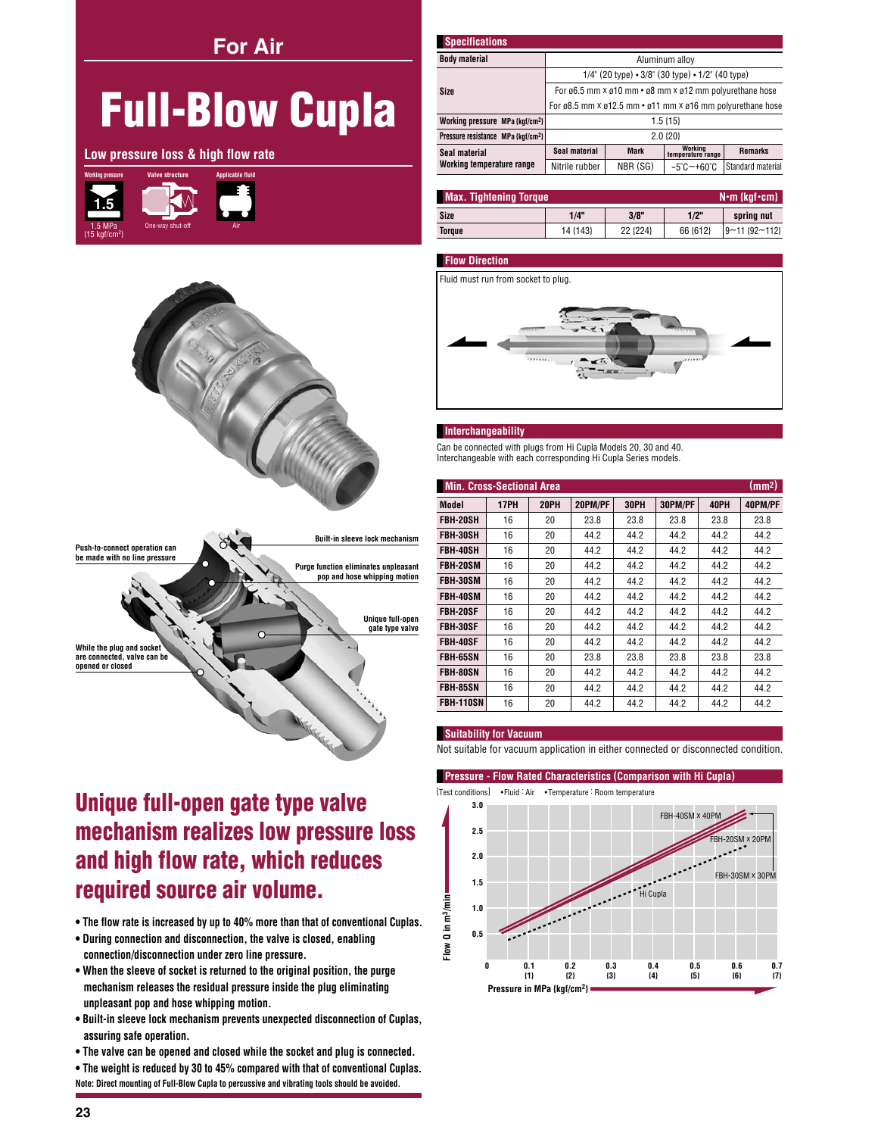**For Air** 

# **Full-Blow Cupla**

Low pressure loss & high flow rate





| <b>Specifications</b>                          |                                                                 |             |                                 |                   |  |  |  |  |
|------------------------------------------------|-----------------------------------------------------------------|-------------|---------------------------------|-------------------|--|--|--|--|
| <b>Body material</b>                           | Aluminum alloy                                                  |             |                                 |                   |  |  |  |  |
|                                                | $1/4$ " (20 type) $\cdot$ 3/8" (30 type) $\cdot$ 1/2" (40 type) |             |                                 |                   |  |  |  |  |
| <b>Size</b>                                    | For ø6.5 mm × ø10 mm • ø8 mm × ø12 mm polyurethane hose         |             |                                 |                   |  |  |  |  |
|                                                | For ø8.5 mm x ø12.5 mm · ø11 mm x ø16 mm polyurethane hose      |             |                                 |                   |  |  |  |  |
| Working pressure MPa {kgf/cm <sup>2</sup> }    | $1.5 \{15\}$                                                    |             |                                 |                   |  |  |  |  |
| Pressure resistance MPa {kgf/cm <sup>2</sup> } | 2.0 {20}                                                        |             |                                 |                   |  |  |  |  |
| Seal material<br>Working temperature range     | Seal material                                                   | <b>Mark</b> | Working<br>temperature range    | <b>Remarks</b>    |  |  |  |  |
|                                                | Nitrile rubber                                                  | NBR (SG)    | $-5^{\circ}$ C $-+60^{\circ}$ C | Standard material |  |  |  |  |

| N•m {kgf•cm}  <br><b>Max. Tightening Torque</b> |          |          |          |                       |  |  |  |
|-------------------------------------------------|----------|----------|----------|-----------------------|--|--|--|
| Size                                            | 1/4"     | 3/8"     | 1/2"     | spring nut            |  |  |  |
| <b>Torque</b>                                   | 14 {143} | 22 {224} | 66 {612} | $ 9 - 11 $ {92 ~ 112} |  |  |  |

### **Flow Direction**



### Interchangeability

Can be connected with plugs from Hi Cupla Models 20, 30 and 40. Interchangeable with each corresponding Hi Cupla Series models.

| (mm <sup>2</sup> )<br><b>Min. Cross-Sectional Area</b> |             |             |         |             |         |      |         |
|--------------------------------------------------------|-------------|-------------|---------|-------------|---------|------|---------|
| Model                                                  | <b>17PH</b> | <b>20PH</b> | 20PM/PF | <b>30PH</b> | 30PM/PF | 40PH | 40PM/PF |
| <b>FBH-20SH</b>                                        | 16          | 20          | 23.8    | 23.8        | 23.8    | 23.8 | 23.8    |
| FBH-30SH                                               | 16          | 20          | 44.2    | 44.2        | 44.2    | 44.2 | 44.2    |
| <b>FBH-40SH</b>                                        | 16          | 20          | 44.2    | 44.2        | 44.2    | 44.2 | 44.2    |
| FBH-20SM                                               | 16          | 20          | 44.2    | 44.2        | 44.2    | 44.2 | 44.2    |
| <b>FBH-30SM</b>                                        | 16          | 20          | 44.2    | 44.2        | 44.2    | 44.2 | 44.2    |
| FBH-40SM                                               | 16          | 20          | 44.2    | 44.2        | 44.2    | 44.2 | 44.2    |
| <b>FBH-20SF</b>                                        | 16          | 20          | 44.2    | 44.2        | 44.2    | 44.2 | 44.2    |
| <b>FBH-30SF</b>                                        | 16          | 20          | 44.2    | 44.2        | 44.2    | 44.2 | 44.2    |
| <b>FBH-40SF</b>                                        | 16          | 20          | 44.2    | 44.2        | 44.2    | 44.2 | 44.2    |
| <b>FBH-65SN</b>                                        | 16          | 20          | 23.8    | 23.8        | 23.8    | 23.8 | 23.8    |
| <b>FBH-80SN</b>                                        | 16          | 20          | 44.2    | 44.2        | 44.2    | 44.2 | 44.2    |
| FBH-85SN                                               | 16          | 20          | 44.2    | 44.2        | 44.2    | 44.2 | 44.2    |
| <b>FBH-110SN</b>                                       | 16          | 20          | 44.2    | 44.2        | 44.2    | 44.2 | 44.2    |

### **Suitability for Vacuum**

Not suitable for vacuum application in either connected or disconnected condition.

# Unique full-open gate type valve mechanism realizes low pressure loss and high flow rate, which reduces required source air volume.

- . The flow rate is increased by up to 40% more than that of conventional Cuplas.
- . During connection and disconnection, the valve is closed, enabling connection/disconnection under zero line pressure.
- . When the sleeve of socket is returned to the original position, the purge mechanism releases the residual pressure inside the plug eliminating unpleasant pop and hose whipping motion.
- . Built-in sleeve lock mechanism prevents unexpected disconnection of Cuplas, assuring safe operation.
- . The valve can be opened and closed while the socket and plug is connected.

• The weight is reduced by 30 to 45% compared with that of conventional Cuplas. Note: Direct mounting of Full-Blow Cupla to percussive and vibrating tools should be avoided.